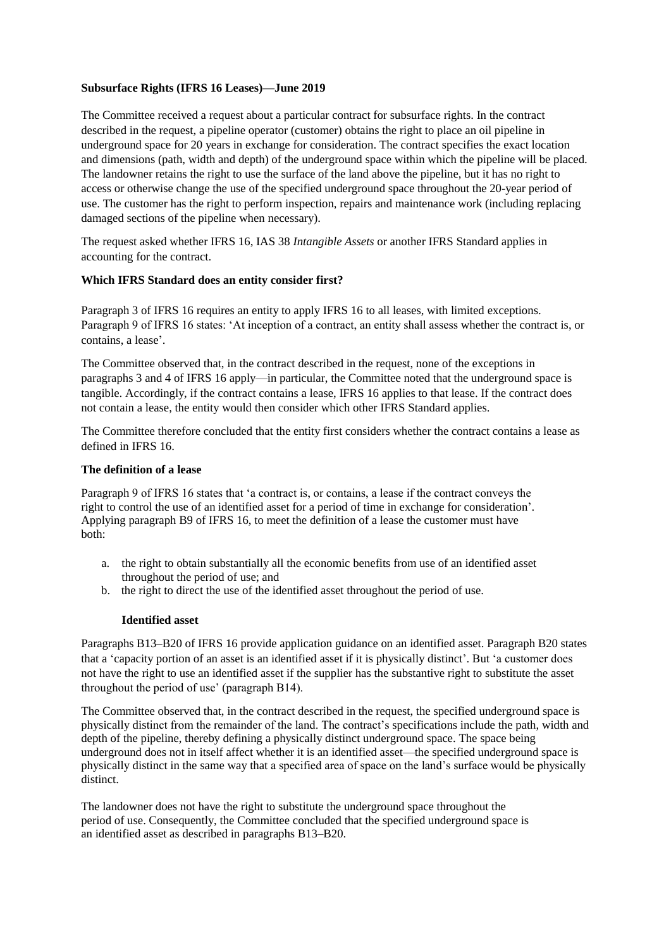# **Subsurface Rights (IFRS 16 Leases)—June 2019**

The Committee received a request about a particular contract for subsurface rights. In the contract described in the request, a pipeline operator (customer) obtains the right to place an oil pipeline in underground space for 20 years in exchange for consideration. The contract specifies the exact location and dimensions (path, width and depth) of the underground space within which the pipeline will be placed. The landowner retains the right to use the surface of the land above the pipeline, but it has no right to access or otherwise change the use of the specified underground space throughout the 20-year period of use. The customer has the right to perform inspection, repairs and maintenance work (including replacing damaged sections of the pipeline when necessary).

The request asked whether IFRS 16, IAS 38 *Intangible Assets* or another IFRS Standard applies in accounting for the contract.

## **Which IFRS Standard does an entity consider first?**

Paragraph 3 of IFRS 16 requires an entity to apply IFRS 16 to all leases, with limited exceptions. Paragraph 9 of IFRS 16 states: 'At inception of a contract, an entity shall assess whether the contract is, or contains, a lease'.

The Committee observed that, in the contract described in the request, none of the exceptions in paragraphs 3 and 4 of IFRS 16 apply—in particular, the Committee noted that the underground space is tangible. Accordingly, if the contract contains a lease, IFRS 16 applies to that lease. If the contract does not contain a lease, the entity would then consider which other IFRS Standard applies.

The Committee therefore concluded that the entity first considers whether the contract contains a lease as defined in IFRS 16.

### **The definition of a lease**

Paragraph 9 of IFRS 16 states that 'a contract is, or contains, a lease if the contract conveys the right to control the use of an identified asset for a period of time in exchange for consideration'. Applying paragraph B9 of IFRS 16, to meet the definition of a lease the customer must have both:

- a. the right to obtain substantially all the economic benefits from use of an identified asset throughout the period of use; and
- b. the right to direct the use of the identified asset throughout the period of use.

#### **Identified asset**

Paragraphs B13–B20 of IFRS 16 provide application guidance on an identified asset. Paragraph B20 states that a 'capacity portion of an asset is an identified asset if it is physically distinct'. But 'a customer does not have the right to use an identified asset if the supplier has the substantive right to substitute the asset throughout the period of use' (paragraph B14).

The Committee observed that, in the contract described in the request, the specified underground space is physically distinct from the remainder of the land. The contract's specifications include the path, width and depth of the pipeline, thereby defining a physically distinct underground space. The space being underground does not in itself affect whether it is an identified asset—the specified underground space is physically distinct in the same way that a specified area of space on the land's surface would be physically distinct.

The landowner does not have the right to substitute the underground space throughout the period of use. Consequently, the Committee concluded that the specified underground space is an identified asset as described in paragraphs B13–B20.